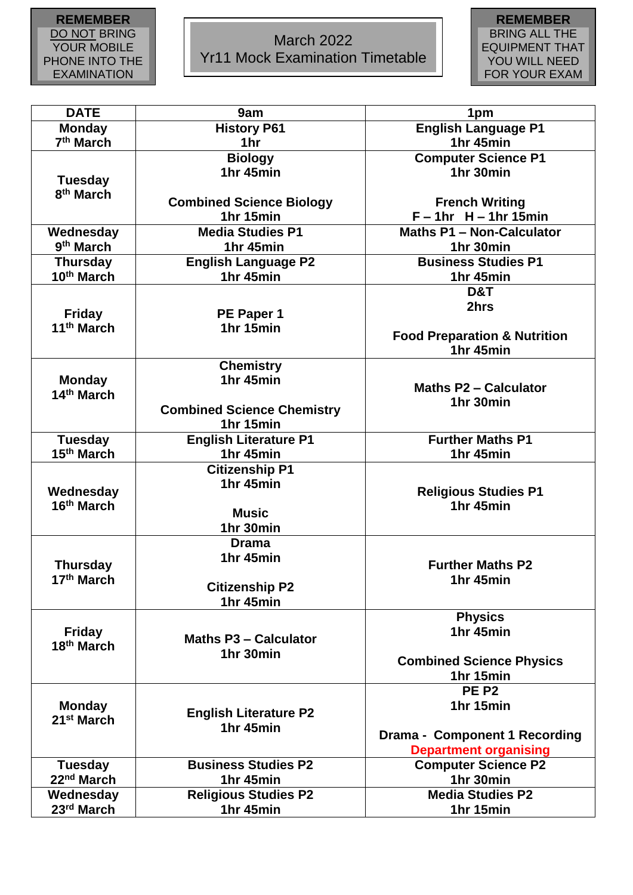## **REMEMBER** DO NOT BRING YOUR MOBILE PHONE INTO THE EXAMINATION

ROOM

## March 2022 Yr11 Mock Examination Timetable



| <b>DATE</b>            | 9am                               | 1pm                                     |
|------------------------|-----------------------------------|-----------------------------------------|
| <b>Monday</b>          | <b>History P61</b>                | English Language P1                     |
| 7 <sup>th</sup> March  | 1 <sub>hr</sub>                   | 1hr 45min                               |
|                        | <b>Biology</b>                    | <b>Computer Science P1</b>              |
| <b>Tuesday</b>         | 1hr 45min                         | 1hr 30min                               |
| 8 <sup>th</sup> March  |                                   |                                         |
|                        | <b>Combined Science Biology</b>   | <b>French Writing</b>                   |
|                        | 1hr 15min                         | $F - 1hr$ H - 1hr 15min                 |
| Wednesday              | <b>Media Studies P1</b>           | <b>Maths P1 - Non-Calculator</b>        |
| 9 <sup>th</sup> March  | 1hr 45min                         | 1hr 30min                               |
| <b>Thursday</b>        | <b>English Language P2</b>        | <b>Business Studies P1</b>              |
| 10th March             | 1hr 45min                         | 1hr 45min                               |
|                        |                                   | D&T                                     |
|                        |                                   | 2hrs                                    |
| <b>Friday</b>          | PE Paper 1                        |                                         |
| 11 <sup>th</sup> March | 1hr 15min                         | <b>Food Preparation &amp; Nutrition</b> |
|                        |                                   | 1hr 45min                               |
|                        | <b>Chemistry</b>                  |                                         |
| <b>Monday</b>          | 1hr 45min                         |                                         |
| 14th March             |                                   | <b>Maths P2 - Calculator</b>            |
|                        | <b>Combined Science Chemistry</b> | 1hr 30min                               |
|                        | 1hr 15min                         |                                         |
| <b>Tuesday</b>         | <b>English Literature P1</b>      | <b>Further Maths P1</b>                 |
| 15 <sup>th</sup> March | 1hr 45min                         | 1hr 45min                               |
|                        | <b>Citizenship P1</b>             |                                         |
|                        | 1hr 45min                         |                                         |
| Wednesday              |                                   | <b>Religious Studies P1</b>             |
| 16th March             | <b>Music</b>                      | 1hr 45min                               |
|                        | 1hr 30min                         |                                         |
|                        | <b>Drama</b>                      |                                         |
|                        | 1hr 45min                         |                                         |
| <b>Thursday</b>        |                                   | <b>Further Maths P2</b>                 |
| 17th March             | <b>Citizenship P2</b>             | 1hr 45min                               |
|                        | 1hr 45min                         |                                         |
|                        |                                   | <b>Physics</b>                          |
| <b>Friday</b>          |                                   | 1hr 45min                               |
| 18 <sup>th</sup> March | <b>Maths P3 - Calculator</b>      |                                         |
|                        | 1hr 30min                         | <b>Combined Science Physics</b>         |
|                        |                                   | 1hr 15min                               |
|                        |                                   | <b>PE P2</b>                            |
| <b>Monday</b>          |                                   | 1hr 15min                               |
| 21 <sup>st</sup> March | <b>English Literature P2</b>      |                                         |
|                        | 1hr 45min                         | Drama - Component 1 Recording           |
|                        |                                   | <b>Department organising</b>            |
| <b>Tuesday</b>         | <b>Business Studies P2</b>        | <b>Computer Science P2</b>              |
| 22 <sup>nd</sup> March | 1hr 45min                         | 1hr 30min                               |
| Wednesday              | <b>Religious Studies P2</b>       | <b>Media Studies P2</b>                 |
| 23rd March             | 1hr 45min                         | 1hr 15min                               |
|                        |                                   |                                         |